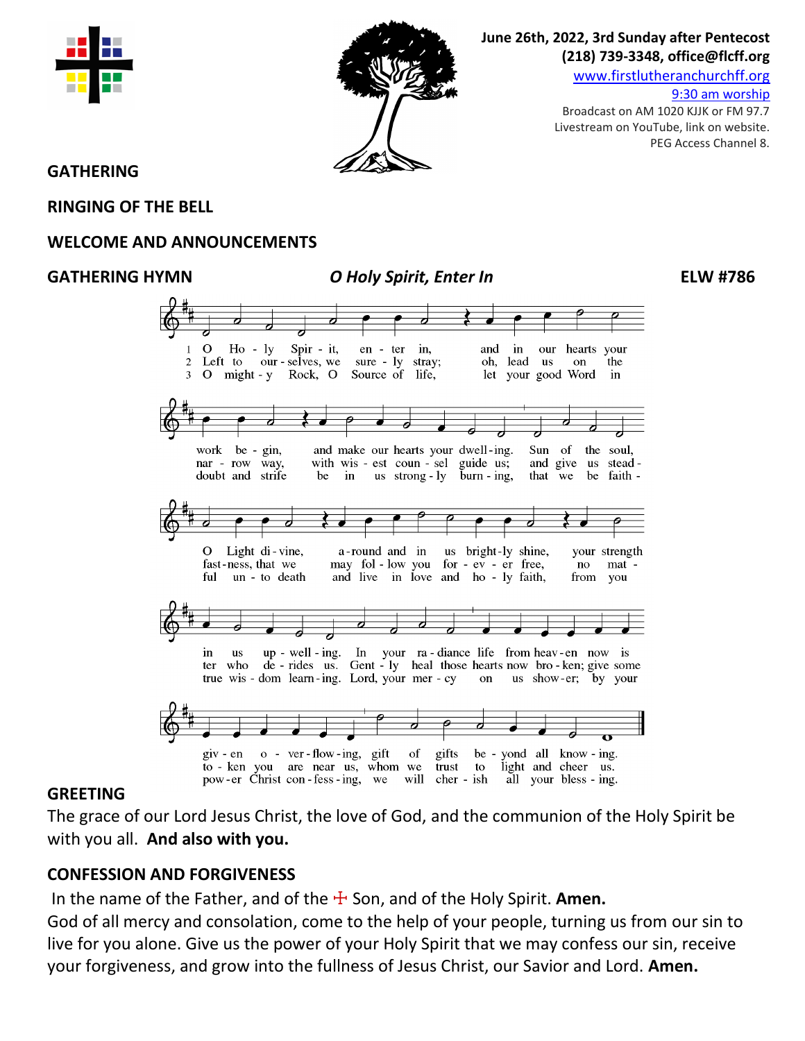



## **June 26th, 2022, 3rd Sunday after Pentecost (218) 739-3348, office@flcff.org**

[www.firstlutheranchurchff.org](http://www.firstlutheranchurchff.org/)

9:30 am worship

Broadcast on AM 1020 KJJK or FM 97.7 Livestream on YouTube, link on website. PEG Access Channel 8.

**GATHERING**

### **RINGING OF THE BELL**

### **WELCOME AND ANNOUNCEMENTS**

#### **GATHERING HYMN** *O Holy Spirit, Enter In* **ELW #786**



### **GREETING**

The grace of our Lord Jesus Christ, the love of God, and the communion of the Holy Spirit be with you all. **And also with you.**

# **CONFESSION AND FORGIVENESS**

In the name of the Father, and of the  $\pm$  Son, and of the Holy Spirit. **Amen.** 

God of all mercy and consolation, come to the help of your people, turning us from our sin to live for you alone. Give us the power of your Holy Spirit that we may confess our sin, receive your forgiveness, and grow into the fullness of Jesus Christ, our Savior and Lord. **Amen.**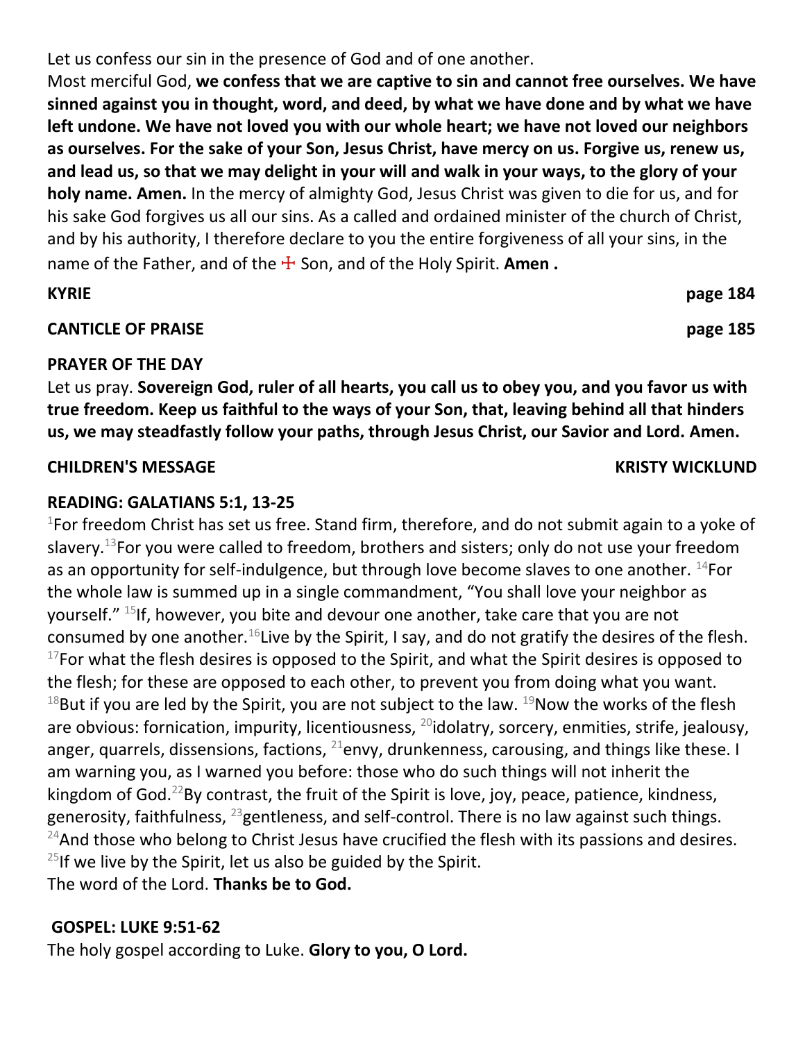Let us confess our sin in the presence of God and of one another.

Most merciful God, **we confess that we are captive to sin and cannot free ourselves. We have sinned against you in thought, word, and deed, by what we have done and by what we have left undone. We have not loved you with our whole heart; we have not loved our neighbors as ourselves. For the sake of your Son, Jesus Christ, have mercy on us. Forgive us, renew us, and lead us, so that we may delight in your will and walk in your ways, to the glory of your holy name. Amen.** In the mercy of almighty God, Jesus Christ was given to die for us, and for his sake God forgives us all our sins. As a called and ordained minister of the church of Christ, and by his authority, I therefore declare to you the entire forgiveness of all your sins, in the name of the Father, and of the ☩ Son, and of the Holy Spirit. **Amen .** 

# **CANTICLE OF PRAISE page 185**

## **PRAYER OF THE DAY**

Let us pray. **Sovereign God, ruler of all hearts, you call us to obey you, and you favor us with true freedom. Keep us faithful to the ways of your Son, that, leaving behind all that hinders us, we may steadfastly follow your paths, through Jesus Christ, our Savior and Lord. Amen.**

### **CHILDREN'S MESSAGE KRISTY WICKLUND**

### **READING: GALATIANS 5:1, 13-25**

<sup>1</sup>For freedom Christ has set us free. Stand firm, therefore, and do not submit again to a yoke of slavery.<sup>13</sup>For you were called to freedom, brothers and sisters; only do not use your freedom as an opportunity for self-indulgence, but through love become slaves to one another. <sup>14</sup>For the whole law is summed up in a single commandment, "You shall love your neighbor as yourself." <sup>15</sup>If, however, you bite and devour one another, take care that you are not consumed by one another.<sup>16</sup>Live by the Spirit, I say, and do not gratify the desires of the flesh.  $17$ For what the flesh desires is opposed to the Spirit, and what the Spirit desires is opposed to the flesh; for these are opposed to each other, to prevent you from doing what you want.  $18$ But if you are led by the Spirit, you are not subject to the law.  $19$ Now the works of the flesh are obvious: fornication, impurity, licentiousness,  $^{20}$ idolatry, sorcery, enmities, strife, jealousy, anger, quarrels, dissensions, factions,  $^{21}$ envy, drunkenness, carousing, and things like these. I am warning you, as I warned you before: those who do such things will not inherit the kingdom of God.<sup>22</sup>By contrast, the fruit of the Spirit is love, joy, peace, patience, kindness, generosity, faithfulness,  $^{23}$ gentleness, and self-control. There is no law against such things.  $24$ And those who belong to Christ Jesus have crucified the flesh with its passions and desires.  $^{25}$ If we live by the Spirit, let us also be guided by the Spirit. The word of the Lord. **Thanks be to God.**

### **GOSPEL: LUKE 9:51-62**

The holy gospel according to Luke. **Glory to you, O Lord.**

**KYRIE page 184**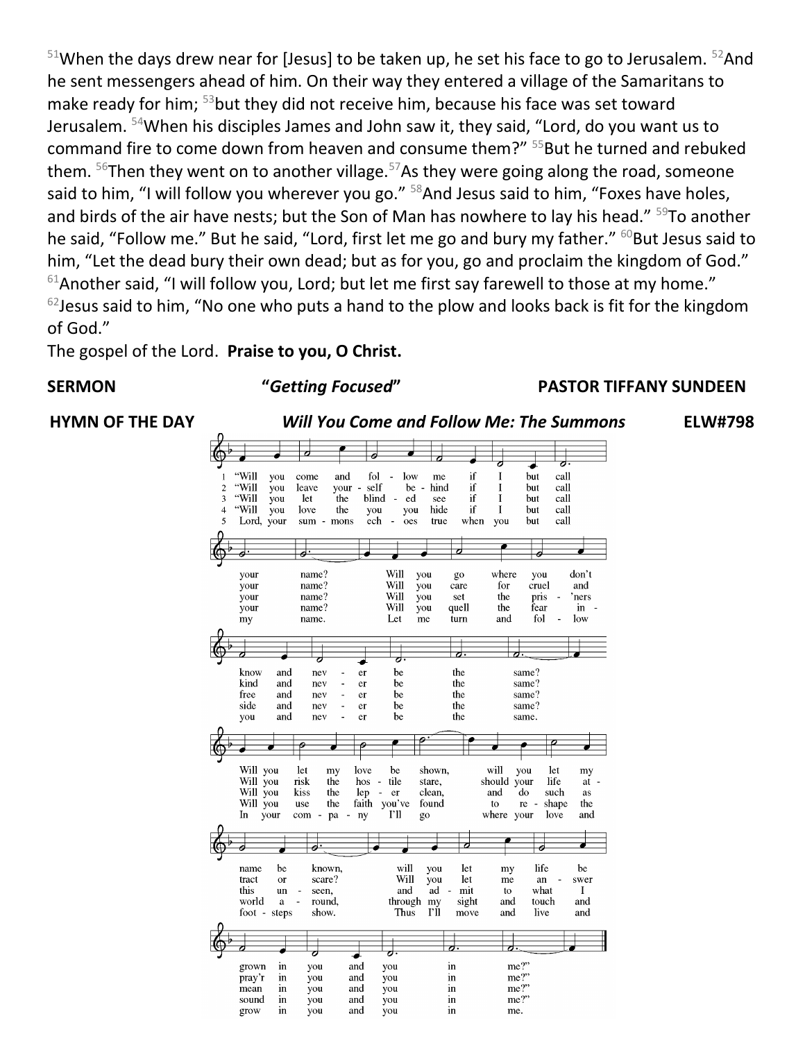$51$ When the days drew near for [Jesus] to be taken up, he set his face to go to Jerusalem.  $52$ And he sent messengers ahead of him. On their way they entered a village of the Samaritans to make ready for him; <sup>53</sup>but they did not receive him, because his face was set toward Jerusalem. <sup>54</sup>When his disciples James and John saw it, they said, "Lord, do you want us to command fire to come down from heaven and consume them?" <sup>55</sup>But he turned and rebuked them.  $56$ Then they went on to another village.  $57$ As they were going along the road, someone said to him, "I will follow you wherever you go." <sup>58</sup>And Jesus said to him, "Foxes have holes, and birds of the air have nests; but the Son of Man has nowhere to lay his head." <sup>59</sup>To another he said, "Follow me." But he said, "Lord, first let me go and bury my father." <sup>60</sup>But Jesus said to him, "Let the dead bury their own dead; but as for you, go and proclaim the kingdom of God."  $61$ Another said, "I will follow you, Lord; but let me first say farewell to those at my home."  $62$  Jesus said to him, "No one who puts a hand to the plow and looks back is fit for the kingdom of God."

The gospel of the Lord. **Praise to you, O Christ.**

#### **SERMON "***Getting Focused***" PASTOR TIFFANY SUNDEEN**

#### **HYMN OF THE DAY** *Will You Come and Follow Me: The Summons* **ELW#798**

 $W111$ you and fol if  $\mathbf I$ but call come  $low$ me  $\mathbf{1}$ "Will hind call self he. if  $\overline{2}$ you leave your T hut  $\dddot{w}$  $\overline{\mathbf{3}}$ you let the blind ed if  $\mathbf{I}$ but call see "Will  $\overline{4}$ love if  $\mathbf{I}$ call you the you you hide but  $\overline{5}$ Lord, your  $sum$  $\overline{\phantom{a}}$ mons  $ech$  $\overline{\mathrm{oes}}$ true when you but call  $\bullet$ ᅯ ⊅ ₫ -9 Will where vour name? you go vou don't your name? Will you care for cruel and Will your name? you set the pris 'ners your name? Will you quell the fear  $in$ Let fol low my name. me furn and Ų  $\overline{\phantom{a}}$  $\overline{\phantom{a}}$  $\overline{c}$ the same? know and nev  $\overline{a}$  $\mathop{\mathrm{er}}$ be kind and nev  $\overline{a}$ er be the same? free and nev  $er$  $\rm{be}$ the same? same? side and nev  $er$ he the the he you and nev er same.  $\overline{\boldsymbol{\theta}}$ Ð J Will you be will let my love shown. you let my Will you risk the hos tile should your life stare,  $at -$ Will you kiss the len  $\omega$ er clean. and do such as Will you faith you've shape use the found to re the In your com ny I'll where your love and pa go ᅱ  $\overline{\bullet}$ đ will life be be known. you let name my Will scare? let swer tract  $\alpha$ <sup>r</sup> you me an this un seen, and ad mit to what  $\mathbf{I}$ ÷. world  $\mathbf{a}$  $\overline{a}$ round, through my sight and touch and foot - steps Thus ГĤ live show. move and and  $\overline{d}$  $\overline{d}$ . ᅯ grown me?" in and you in vou  $me$ ?" pray'r in you and you in  $\overline{\text{me}}$ ?" and mean in you you in sound in you and you in me?"

and

vou

in

me.

grow

in

vou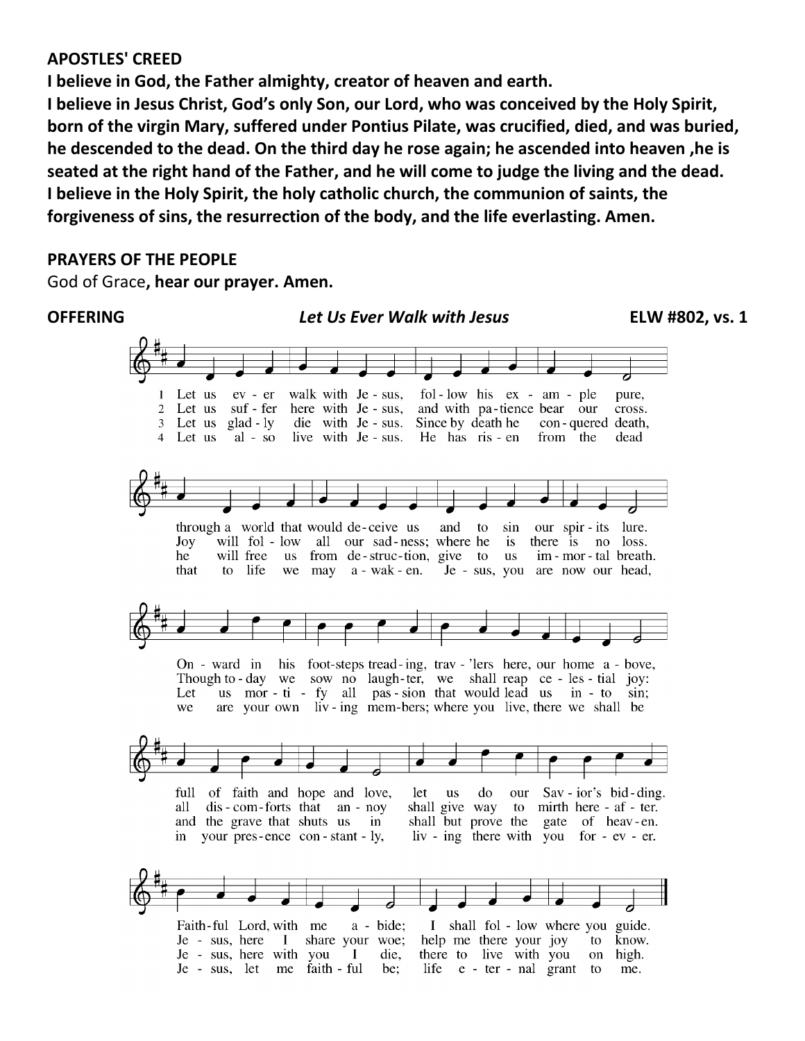#### **APOSTLES' CREED**

**I believe in God, the Father almighty, creator of heaven and earth.**

**I believe in Jesus Christ, God's only Son, our Lord, who was conceived by the Holy Spirit, born of the virgin Mary, suffered under Pontius Pilate, was crucified, died, and was buried, he descended to the dead. On the third day he rose again; he ascended into heaven ,he is seated at the right hand of the Father, and he will come to judge the living and the dead. I believe in the Holy Spirit, the holy catholic church, the communion of saints, the forgiveness of sins, the resurrection of the body, and the life everlasting. Amen.**

### **PRAYERS OF THE PEOPLE**

God of Grace**, hear our prayer. Amen.**

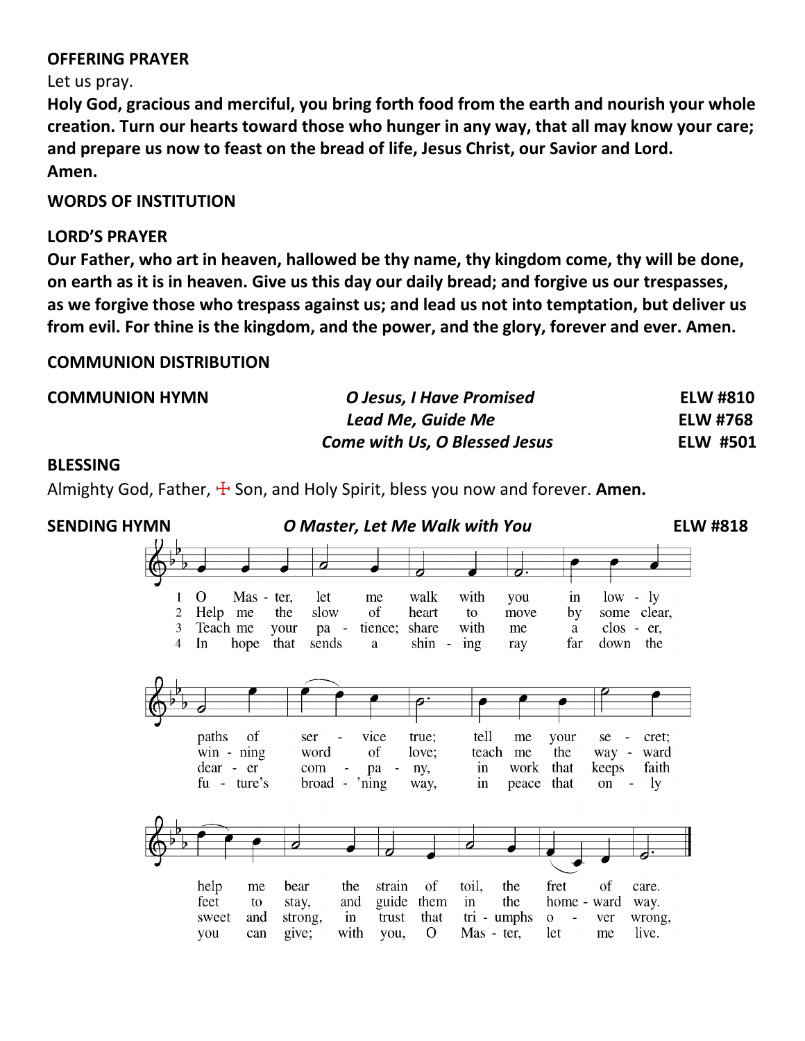# **OFFERING PRAYER**

Let us pray.

**Holy God, gracious and merciful, you bring forth food from the earth and nourish your whole creation. Turn our hearts toward those who hunger in any way, that all may know your care; and prepare us now to feast on the bread of life, Jesus Christ, our Savior and Lord. Amen.**

## **WORDS OF INSTITUTION**

### **LORD'S PRAYER**

**Our Father, who art in heaven, hallowed be thy name, thy kingdom come, thy will be done, on earth as it is in heaven. Give us this day our daily bread; and forgive us our trespasses, as we forgive those who trespass against us; and lead us not into temptation, but deliver us from evil. For thine is the kingdom, and the power, and the glory, forever and ever. Amen.**

### **COMMUNION DISTRIBUTION**

| <b>COMMUNION HYMN</b> | O Jesus, I Have Promised             | <b>ELW #810</b> |
|-----------------------|--------------------------------------|-----------------|
|                       | Lead Me, Guide Me                    | <b>ELW #768</b> |
|                       | <b>Come with Us, O Blessed Jesus</b> | <b>ELW #501</b> |

### **BLESSING**

Almighty God, Father,  $\pm$  Son, and Holy Spirit, bless you now and forever. **Amen.** 

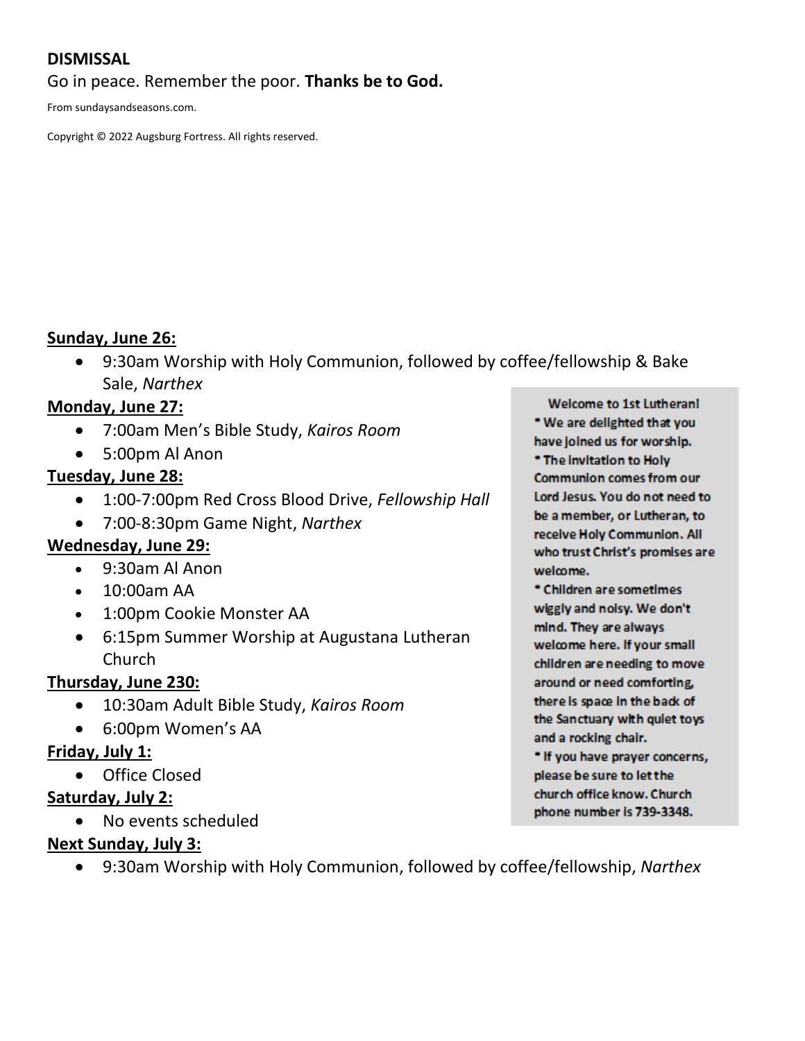# **DISMISSAL**

Go in peace. Remember the poor. **Thanks be to God.**

From sundaysandseasons.com.

Copyright © 2022 Augsburg Fortress. All rights reserved.

## **Sunday, June 26:**

• 9:30am Worship with Holy Communion, followed by coffee/fellowship & Bake Sale, *Narthex*

# **Monday, June 27:**

- 7:00am Men's Bible Study, *Kairos Room*
- 5:00pm Al Anon

# **Tuesday, June 28:**

- 1:00-7:00pm Red Cross Blood Drive, *Fellowship Hall*
- 7:00-8:30pm Game Night, *Narthex*

# **Wednesday, June 29:**

- 9:30am Al Anon
- 10:00am AA
- 1:00pm Cookie Monster AA
- 6:15pm Summer Worship at Augustana Lutheran Church

# **Thursday, June 230:**

- 10:30am Adult Bible Study, *Kairos Room*
- 6:00pm Women's AA

# **Friday, July 1:**

• Office Closed

# **Saturday, July 2:**

• No events scheduled

# **Next Sunday, July 3:**

• 9:30am Worship with Holy Communion, followed by coffee/fellowship, *Narthex*

**Welcome to 1st Lutherani** \* We are delighted that you have joined us for worship. \* The invitation to Holv **Communion comes from our** Lord Jesus. You do not need to be a member, or Lutheran, to receive Holy Communion. All who trust Christ's promises are welmme.

\* Children are sometimes wiggly and noisy. We don't mind. They are always welcome here. If your small children are needing to move around or need comforting, there is space in the back of the Sanctuary with quiet toys and a rocking chair. \* If you have prayer concerns,

please be sure to let the church office know. Church phone number is 739-3348.